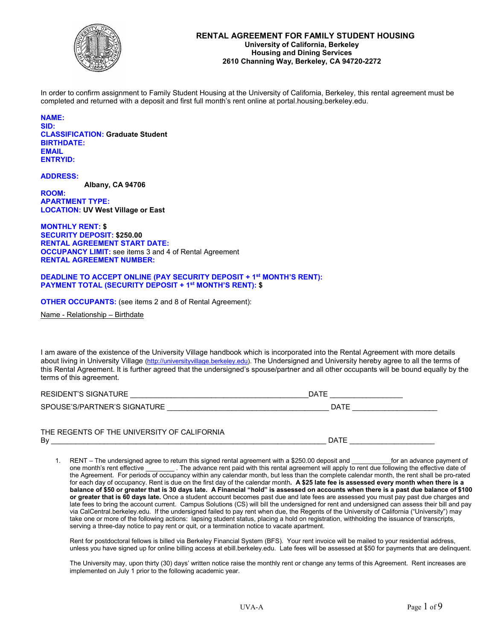

In order to confirm assignment to Family Student Housing at the University of California, Berkeley, this rental agreement must be completed and returned with a deposit and first full month's rent online at portal.housing.berkeley.edu.

#### **NAME:**

**SID: CLASSIFICATION: Graduate Student BIRTHDATE: EMAIL ENTRYID:**

**ADDRESS: Albany, CA 94706 ROOM:**

**APARTMENT TYPE: LOCATION: UV West Village or East**

**MONTHLY RENT: \$ SECURITY DEPOSIT: \$250.00 RENTAL AGREEMENT START DATE: OCCUPANCY LIMIT:** see items 3 and 4 of Rental Agreement **RENTAL AGREEMENT NUMBER:** 

#### **DEADLINE TO ACCEPT ONLINE (PAY SECURITY DEPOSIT + 1st MONTH'S RENT): PAYMENT TOTAL (SECURITY DEPOSIT + 1st MONTH'S RENT): \$**

**OTHER OCCUPANTS:** (see items 2 and 8 of Rental Agreement):

Name - Relationship – Birthdate

I am aware of the existence of the University Village handbook which is incorporated into the Rental Agreement with more details about living in University Village [\(http://universityvillage.berkeley.edu\)](https://housing.berkeley.edu/universityvillage). The Undersigned and University hereby agree to all the terms of this Rental Agreement. It is further agreed that the undersigned's spouse/partner and all other occupants will be bound equally by the terms of this agreement.

| <b>RESIDENT'S SIGNATURE</b>  | DATE |
|------------------------------|------|
| SPOUSE'S/PARTNER'S SIGNATURE | DATE |
|                              |      |

| THE REGENTS OF THE UNIVERSITY OF CALIFORNIA |      |
|---------------------------------------------|------|
| Bv                                          | DATF |

1. RENT – The undersigned agree to return this signed rental agreement with a \$250.00 deposit and for an advance payment of one month's rent effective \_\_\_\_\_\_\_\_ . The advance rent paid with this rental agreement will apply to rent due following the effective date of the Agreement. For periods of occupancy within any calendar month, but less than the complete calendar month, the rent shall be pro-rated for each day of occupancy. Rent is due on the first day of the calendar month**. A \$25 late fee is assessed every month when there is a balance of \$50 or greater that is 30 days late. A Financial "hold" is assessed on accounts when there is a past due balance of \$100 or greater that is 60 days late.** Once a student account becomes past due and late fees are assessed you must pay past due charges and late fees to bring the account current. Campus Solutions (CS) will bill the undersigned for rent and undersigned can assess their bill and pay via CalCentral.berkeley.edu. If the undersigned failed to pay rent when due, the Regents of the University of California ("University") may take one or more of the following actions: lapsing student status, placing a hold on registration, withholding the issuance of transcripts, serving a three-day notice to pay rent or quit, or a termination notice to vacate apartment.

Rent for postdoctoral fellows is billed via Berkeley Financial System (BFS). Your rent invoice will be mailed to your residential address, unless you have signed up for online billing access at ebill.berkeley.edu. Late fees will be assessed at \$50 for payments that are delinquent.

The University may, upon thirty (30) days' written notice raise the monthly rent or change any terms of this Agreement. Rent increases are implemented on July 1 prior to the following academic year.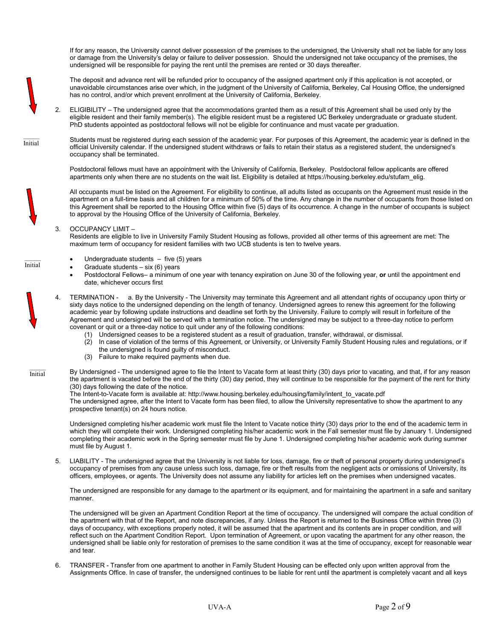If for any reason, the University cannot deliver possession of the premises to the undersigned, the University shall not be liable for any loss or damage from the University's delay or failure to deliver possession. Should the undersigned not take occupancy of the premises, the undersigned will be responsible for paying the rent until the premises are rented or 30 days thereafter.

Initial

The deposit and advance rent will be refunded prior to occupancy of the assigned apartment only if this application is not accepted, or unavoidable circumstances arise over which, in the judgment of the University of California, Berkeley, Cal Housing Office, the undersigned has no control, and/or which prevent enrollment at the University of California, Berkeley.

2. ELIGIBILITY – The undersigned agree that the accommodations granted them as a result of this Agreement shall be used only by the eligible resident and their family member(s). The eligible resident must be a registered UC Berkeley undergraduate or graduate student. PhD students appointed as postdoctoral fellows will not be eligible for continuance and must vacate per graduation.

Students must be registered during each session of the academic year. For purposes of this Agreement, the academic year is defined in the official University calendar. If the undersigned student withdraws or fails to retain their status as a registered student, the undersigned's occupancy shall be terminated.

Postdoctoral fellows must have an appointment with the University of California, Berkeley. Postdoctoral fellow applicants are offered apartments only when there are no students on the wait list. Eligibility is detailed at https://housing.berkeley.edu/stufam\_elig.

All occupants must be listed on the Agreement. For eligibility to continue, all adults listed as occupants on the Agreement must reside in the apartment on a full-time basis and all children for a minimum of 50% of the time. Any change in the number of occupants from those listed on this Agreement shall be reported to the Housing Office within five (5) days of its occurrence. A change in the number of occupants is subject to approval by the Housing Office of the University of California, Berkeley.

#### 3. OCCUPANCY LIMIT –

Residents are eligible to live in University Family Student Housing as follows, provided all other terms of this agreement are met: The maximum term of occupancy for resident families with two UCB students is ten to twelve years.



- Graduate students  $-$  six (6) years
- Postdoctoral Fellows– a minimum of one year with tenancy expiration on June 30 of the following year, **or** until the appointment end date, whichever occurs first
- 4. TERMINATION a. By the University The University may terminate this Agreement and all attendant rights of occupancy upon thirty or sixty days notice to the undersigned depending on the length of tenancy. Undersigned agrees to renew this agreement for the following academic year by following update instructions and deadline set forth by the University. Failure to comply will result in forfeiture of the Agreement and undersigned will be served with a termination notice. The undersigned may be subject to a three-day notice to perform covenant or quit or a three-day notice to quit under any of the following conditions:
	- (1) Undersigned ceases to be a registered student as a result of graduation, transfer, withdrawal, or dismissal.
	- In case of violation of the terms of this Agreement, or University, or University Family Student Housing rules and regulations, or if the undersigned is found guilty of misconduct.
	- (3) Failure to make required payments when due.

By Undersigned - The undersigned agree to file the Intent to Vacate form at least thirty (30) days prior to vacating, and that, if for any reason the apartment is vacated before the end of the thirty (30) day period, they will continue to be responsible for the payment of the rent for thirty (30) days following the date of the notice.

The Intent-to-Vacate form is available at: [http://www.housing.berkeley.edu/housing/family/intent\\_to\\_vacate.pdf](http://www.housing.berkeley.edu/housing/family/intent_to_vacate.pdf) The undersigned agree, after the Intent to Vacate form has been filed, to allow the University representative to show the apartment to any prospective tenant(s) on 24 hours notice.

Undersigned completing his/her academic work must file the Intent to Vacate notice thirty (30) days prior to the end of the academic term in which they will complete their work. Undersigned completing his/her academic work in the Fall semester must file by January 1. Undersigned completing their academic work in the Spring semester must file by June 1. Undersigned completing his/her academic work during summer must file by August 1.

5. LIABILITY - The undersigned agree that the University is not liable for loss, damage, fire or theft of personal property during undersigned's occupancy of premises from any cause unless such loss, damage, fire or theft results from the negligent acts or omissions of University, its officers, employees, or agents. The University does not assume any liability for articles left on the premises when undersigned vacates.

The undersigned are responsible for any damage to the apartment or its equipment, and for maintaining the apartment in a safe and sanitary manner.

The undersigned will be given an Apartment Condition Report at the time of occupancy. The undersigned will compare the actual condition of the apartment with that of the Report, and note discrepancies, if any. Unless the Report is returned to the Business Office within three (3) days of occupancy, with exceptions properly noted, it will be assumed that the apartment and its contents are in proper condition, and will reflect such on the Apartment Condition Report. Upon termination of Agreement, or upon vacating the apartment for any other reason, the undersigned shall be liable only for restoration of premises to the same condition it was at the time of occupancy, except for reasonable wear and tear.

6. TRANSFER - Transfer from one apartment to another in Family Student Housing can be effected only upon written approval from the Assignments Office. In case of transfer, the undersigned continues to be liable for rent until the apartment is completely vacant and all keys

Initial



Initial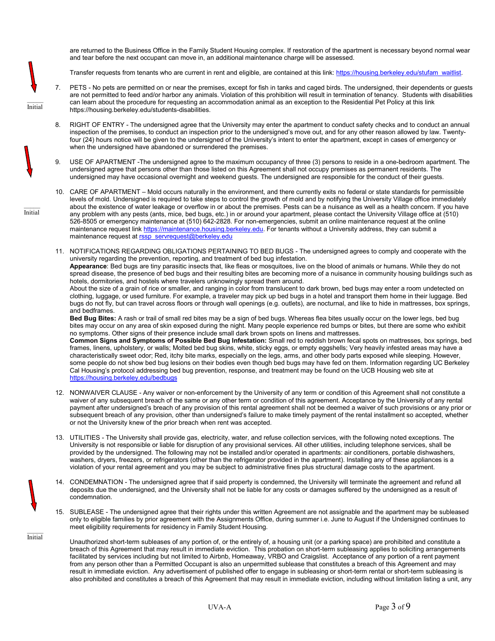are returned to the Business Office in the Family Student Housing complex. If restoration of the apartment is necessary beyond normal wear and tear before the next occupant can move in, an additional maintenance charge will be assessed.

Transfer requests from tenants who are current in rent and eligible, are contained at this link: [https://housing.berkeley.edu/stufam\\_waitlist.](https://housing.berkeley.edu/stufam_waitlist) 

- 7. PETS No pets are permitted on or near the premises, except for fish in tanks and caged birds. The undersigned, their dependents or guests are not permitted to feed and/or harbor any animals. Violation of this prohibition will result in termination of tenancy. Students with disabilities can learn about the procedure for requesting an accommodation animal as an exception to the Residential Pet Policy at this link https://housing.berkeley.edu/students-disabilities.
- 8. RIGHT OF ENTRY The undersigned agree that the University may enter the apartment to conduct safety checks and to conduct an annual inspection of the premises, to conduct an inspection prior to the undersigned's move out, and for any other reason allowed by law. Twentyfour (24) hours notice will be given to the undersigned of the University's intent to enter the apartment, except in cases of emergency or when the undersigned have abandoned or surrendered the premises.

9. USE OF APARTMENT -The undersigned agree to the maximum occupancy of three (3) persons to reside in a one-bedroom apartment. The undersigned agree that persons other than those listed on this Agreement shall not occupy premises as permanent residents. The undersigned may have occasional overnight and weekend guests. The undersigned are responsible for the conduct of their guests.

- 10. CARE OF APARTMENT Mold occurs naturally in the environment, and there currently exits no federal or state standards for permissible levels of mold. Undersigned is required to take steps to control the growth of mold and by notifying the University Village office immediately about the existence of water leakage or overflow in or about the premises. Pests can be a nuisance as well as a health concern. If you have any problem with any pests (ants, mice, bed bugs, etc.) in or around your apartment, please contact the University Village office at (510) 526-8505 or emergency maintenance at (510) 642-2828. For non-emergencies, submit an online maintenance request at the online maintenance request link <u>https://maintenance.housing.berkeley.edu</u>. For tenants without a University address, they can submit a maintenance request at <u>rssp\_servrequest@berkeley.edu</u>
- 11. NOTIFICATIONS REGARDING OBLIGATIONS PERTAINING TO BED BUGS The undersigned agrees to comply and cooperate with the university regarding the prevention, reporting, and treatment of bed bug infestation. **Appearance**: Bed bugs are tiny parasitic insects that, like fleas or mosquitoes, live on the blood of animals or humans. While they do not spread disease, the presence of bed bugs and their resulting bites are becoming more of a nuisance in community housing buildings such as hotels, dormitories, and hostels where travelers unknowingly spread them around. About the size of a grain of rice or smaller, and ranging in color from translucent to dark brown, bed bugs may enter a room undetected on

clothing, luggage, or used furniture. For example, a traveler may pick up bed bugs in a hotel and transport them home in their luggage. Bed bugs do not fly, but can travel across floors or through wall openings (e.g. outlets), are nocturnal, and like to hide in mattresses, box springs, and bedframes.

**Bed Bug Bites:** A rash or trail of small red bites may be a sign of bed bugs. Whereas flea bites usually occur on the lower legs, bed bug bites may occur on any area of skin exposed during the night. Many people experience red bumps or bites, but there are some who exhibit no symptoms. Other signs of their presence include small dark brown spots on linens and mattresses.

**Common Signs and Symptoms of Possible Bed Bug Infestation:** Small red to reddish brown fecal spots on mattresses, box springs, bed frames, linens, upholstery, or walls; Molted bed bug skins, white, sticky eggs, or empty eggshells; Very heavily infested areas may have a characteristically sweet odor; Red, itchy bite marks, especially on the legs, arms, and other body parts exposed while sleeping. However, some people do not show bed bug lesions on their bodies even though bed bugs may have fed on them. Information regarding UC Berkeley Cal Housing's protocol addressing bed bug prevention, response, and treatment may be found on the UCB Housing web site at <https://housing.berkeley.edu/bedbugs>

- 12. NONWAIVER CLAUSE Any waiver or non-enforcement by the University of any term or condition of this Agreement shall not constitute a waiver of any subsequent breach of the same or any other term or condition of this agreement. Acceptance by the University of any rental payment after undersigned's breach of any provision of this rental agreement shall not be deemed a waiver of such provisions or any prior or subsequent breach of any provision, other than undersigned's failure to make timely payment of the rental installment so accepted, whether or not the University knew of the prior breach when rent was accepted.
- 13. UTILITIES The University shall provide gas, electricity, water, and refuse collection services, with the following noted exceptions. The University is not responsible or liable for disruption of any provisional services. All other utilities, including telephone services, shall be provided by the undersigned. The following may not be installed and/or operated in apartments: air conditioners, portable dishwashers, washers, dryers, freezers, or refrigerators (other than the refrigerator provided in the apartment). Installing any of these appliances is a violation of your rental agreement and you may be subject to administrative fines plus structural damage costs to the apartment.
- 14. CONDEMNATION The undersigned agree that if said property is condemned, the University will terminate the agreement and refund all deposits due the undersigned, and the University shall not be liable for any costs or damages suffered by the undersigned as a result of condemnation.
- 15. SUBLEASE The undersigned agree that their rights under this written Agreement are not assignable and the apartment may be subleased only to eligible families by prior agreement with the Assignments Office, during summer i.e. June to August if the Undersigned continues to meet eligibility requirements for residency in Family Student Housing.

Unauthorized short-term subleases of any portion of, or the entirely of, a housing unit (or a parking space) are prohibited and constitute a breach of this Agreement that may result in immediate eviction. This probation on short-term subleasing applies to soliciting arrangements facilitated by services including but not limited to Airbnb, Homeaway, VRBO and Craigslist. Acceptance of any portion of a rent payment from any person other than a Permitted Occupant is also an unpermitted sublease that constitutes a breach of this Agreement and may result in immediate eviction. Any advertisement of published offer to engage in subleasing or short-term rental or short-term subleasing is also prohibited and constitutes a breach of this Agreement that may result in immediate eviction, including without limitation listing a unit, any

 $\mathcal{L}$ Initial

> $\mathcal{L}$ Initial

 $\mathcal{L}$ Initial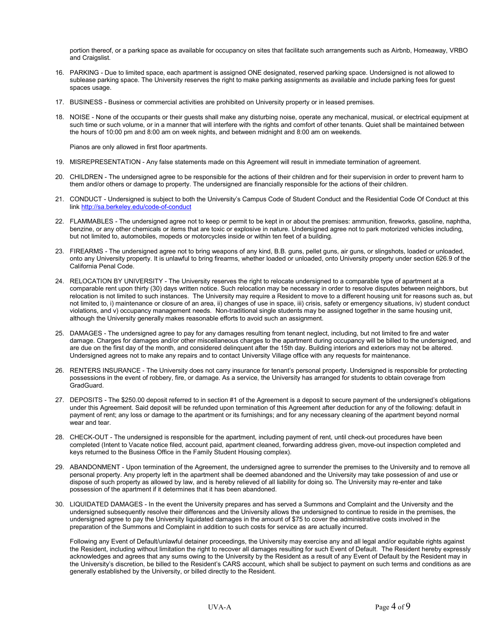portion thereof, or a parking space as available for occupancy on sites that facilitate such arrangements such as Airbnb, Homeaway, VRBO and Craigslist.

- 16. PARKING Due to limited space, each apartment is assigned ONE designated, reserved parking space. Undersigned is not allowed to sublease parking space. The University reserves the right to make parking assignments as available and include parking fees for guest spaces usage
- 17. BUSINESS Business or commercial activities are prohibited on University property or in leased premises.
- 18. NOISE None of the occupants or their guests shall make any disturbing noise, operate any mechanical, musical, or electrical equipment at such time or such volume, or in a manner that will interfere with the rights and comfort of other tenants. Quiet shall be maintained between the hours of 10:00 pm and 8:00 am on week nights, and between midnight and 8:00 am on weekends.

Pianos are only allowed in first floor apartments.

- 19. MISREPRESENTATION Any false statements made on this Agreement will result in immediate termination of agreement.
- 20. CHILDREN The undersigned agree to be responsible for the actions of their children and for their supervision in order to prevent harm to them and/or others or damage to property. The undersigned are financially responsible for the actions of their children.
- 21. CONDUCT Undersigned is subject to both the University's Campus Code of Student Conduct and the Residential Code Of Conduct at this lin[k http://sa.berkeley.edu/code-of-conduct](http://sa.berkeley.edu/code-of-conduct)
- 22. FLAMMABLES The undersigned agree not to keep or permit to be kept in or about the premises: ammunition, fireworks, gasoline, naphtha, benzine, or any other chemicals or items that are toxic or explosive in nature. Undersigned agree not to park motorized vehicles including. but not limited to, automobiles, mopeds or motorcycles inside or within ten feet of a building.
- 23. FIREARMS The undersigned agree not to bring weapons of any kind, B.B. guns, pellet guns, air guns, or slingshots, loaded or unloaded, onto any University property. It is unlawful to bring firearms, whether loaded or unloaded, onto University property under section 626.9 of the California Penal Code.
- 24. RELOCATION BY UNIVERSITY The University reserves the right to relocate undersigned to a comparable type of apartment at a comparable rent upon thirty (30) days written notice. Such relocation may be necessary in order to resolve disputes between neighbors, but relocation is not limited to such instances. The University may require a Resident to move to a different housing unit for reasons such as, but not limited to, i) maintenance or closure of an area, ii) changes of use in space, iii) crisis, safety or emergency situations, iv) student conduct violations, and v) occupancy management needs. Non-traditional single students may be assigned together in the same housing unit, although the University generally makes reasonable efforts to avoid such an assignment.
- 25. DAMAGES The undersigned agree to pay for any damages resulting from tenant neglect, including, but not limited to fire and water damage. Charges for damages and/or other miscellaneous charges to the apartment during occupancy will be billed to the undersigned, and are due on the first day of the month, and considered delinquent after the 15th day. Building interiors and exteriors may not be altered. Undersigned agrees not to make any repairs and to contact University Village office with any requests for maintenance.
- 26. RENTERS INSURANCE The University does not carry insurance for tenant's personal property. Undersigned is responsible for protecting possessions in the event of robbery, fire, or damage. As a service, the University has arranged for students to obtain coverage from GradGuard.
- 27. DEPOSITS The \$250.00 deposit referred to in section #1 of the Agreement is a deposit to secure payment of the undersigned's obligations under this Agreement. Said deposit will be refunded upon termination of this Agreement after deduction for any of the following: default in payment of rent; any loss or damage to the apartment or its furnishings; and for any necessary cleaning of the apartment beyond normal wear and tear.
- 28. CHECK-OUT The undersigned is responsible for the apartment, including payment of rent, until check-out procedures have been completed (Intent to Vacate notice filed, account paid, apartment cleaned, forwarding address given, move-out inspection completed and keys returned to the Business Office in the Family Student Housing complex).
- 29. ABANDONMENT Upon termination of the Agreement, the undersigned agree to surrender the premises to the University and to remove all personal property. Any property left in the apartment shall be deemed abandoned and the University may take possession of and use or dispose of such property as allowed by law, and is hereby relieved of all liability for doing so. The University may re-enter and take possession of the apartment if it determines that it has been abandoned.
- 30. LIQUIDATED DAMAGES In the event the University prepares and has served a Summons and Complaint and the University and the undersigned subsequently resolve their differences and the University allows the undersigned to continue to reside in the premises, the undersigned agree to pay the University liquidated damages in the amount of \$75 to cover the administrative costs involved in the preparation of the Summons and Complaint in addition to such costs for service as are actually incurred.

Following any Event of Default/unlawful detainer proceedings, the University may exercise any and all legal and/or equitable rights against the Resident, including without limitation the right to recover all damages resulting for such Event of Default. The Resident hereby expressly acknowledges and agrees that any sums owing to the University by the Resident as a result of any Event of Default by the Resident may in the University's discretion, be billed to the Resident's CARS account, which shall be subject to payment on such terms and conditions as are generally established by the University, or billed directly to the Resident.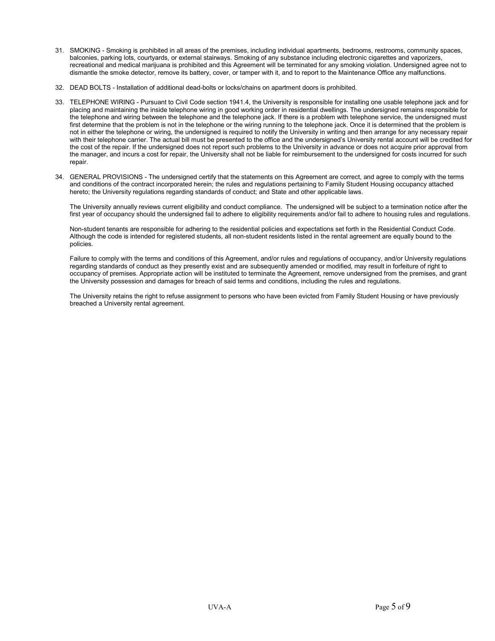- 31. SMOKING Smoking is prohibited in all areas of the premises, including individual apartments, bedrooms, restrooms, community spaces, balconies, parking lots, courtyards, or external stairways. Smoking of any substance including electronic cigarettes and vaporizers, recreational and medical marijuana is prohibited and this Agreement will be terminated for any smoking violation. Undersigned agree not to dismantle the smoke detector, remove its battery, cover, or tamper with it, and to report to the Maintenance Office any malfunctions.
- 32. DEAD BOLTS Installation of additional dead-bolts or locks/chains on apartment doors is prohibited.
- 33. TELEPHONE WIRING Pursuant to Civil Code section 1941.4, the University is responsible for installing one usable telephone jack and for placing and maintaining the inside telephone wiring in good working order in residential dwellings. The undersigned remains responsible for the telephone and wiring between the telephone and the telephone jack. If there is a problem with telephone service, the undersigned must first determine that the problem is not in the telephone or the wiring running to the telephone jack. Once it is determined that the problem is not in either the telephone or wiring, the undersigned is required to notify the University in writing and then arrange for any necessary repair with their telephone carrier. The actual bill must be presented to the office and the undersigned's University rental account will be credited for the cost of the repair. If the undersigned does not report such problems to the University in advance or does not acquire prior approval from the manager, and incurs a cost for repair, the University shall not be liable for reimbursement to the undersigned for costs incurred for such repair.
- 34. GENERAL PROVISIONS The undersigned certify that the statements on this Agreement are correct, and agree to comply with the terms and conditions of the contract incorporated herein; the rules and regulations pertaining to Family Student Housing occupancy attached hereto; the University regulations regarding standards of conduct; and State and other applicable laws.

The University annually reviews current eligibility and conduct compliance. The undersigned will be subject to a termination notice after the first year of occupancy should the undersigned fail to adhere to eligibility requirements and/or fail to adhere to housing rules and regulations.

Non-student tenants are responsible for adhering to the residential policies and expectations set forth in the Residential Conduct Code. Although the code is intended for registered students, all non-student residents listed in the rental agreement are equally bound to the policies.

Failure to comply with the terms and conditions of this Agreement, and/or rules and regulations of occupancy, and/or University regulations regarding standards of conduct as they presently exist and are subsequently amended or modified, may result in forfeiture of right to occupancy of premises. Appropriate action will be instituted to terminate the Agreement, remove undersigned from the premises, and grant the University possession and damages for breach of said terms and conditions, including the rules and regulations.

The University retains the right to refuse assignment to persons who have been evicted from Family Student Housing or have previously breached a University rental agreement.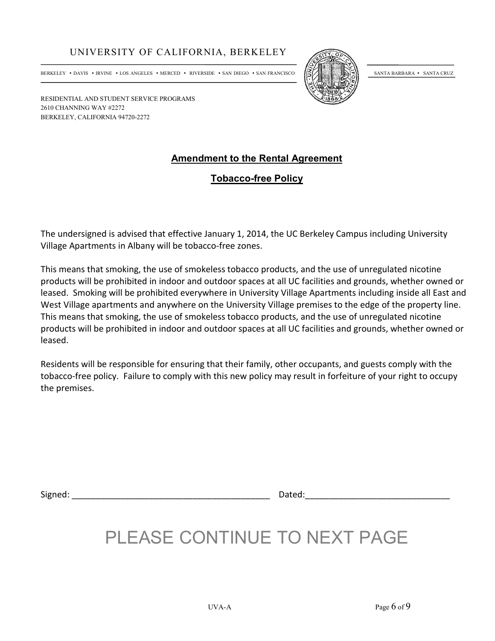BERKELEY • DAVIS • IRVINE • LOS ANGELES • MERCED • RIVERSIDE • SAN DIEGO • SAN FRANCISCO (SIANTA ENTA BARBARA • SANTA CRUZ



RESIDENTIAL AND STUDENT SERVICE PROGRAMS 2610 CHANNING WAY #2272 BERKELEY, CALIFORNIA 94720-2272

### **Amendment to the Rental Agreement**

### **Tobacco-free Policy**

The undersigned is advised that effective January 1, 2014, the UC Berkeley Campus including University Village Apartments in Albany will be tobacco-free zones.

This means that smoking, the use of smokeless tobacco products, and the use of unregulated nicotine products will be prohibited in indoor and outdoor spaces at all UC facilities and grounds, whether owned or leased. Smoking will be prohibited everywhere in University Village Apartments including inside all East and West Village apartments and anywhere on the University Village premises to the edge of the property line. This means that smoking, the use of smokeless tobacco products, and the use of unregulated nicotine products will be prohibited in indoor and outdoor spaces at all UC facilities and grounds, whether owned or leased.

Residents will be responsible for ensuring that their family, other occupants, and guests comply with the tobacco-free policy. Failure to comply with this new policy may result in forfeiture of your right to occupy the premises.

Signed: \_\_\_\_\_\_\_\_\_\_\_\_\_\_\_\_\_\_\_\_\_\_\_\_\_\_\_\_\_\_\_\_\_\_\_\_\_\_\_\_\_ Dated:\_\_\_\_\_\_\_\_\_\_\_\_\_\_\_\_\_\_\_\_\_\_\_\_\_\_\_\_\_\_

## PLEASE CONTINUE TO NEXT PAGE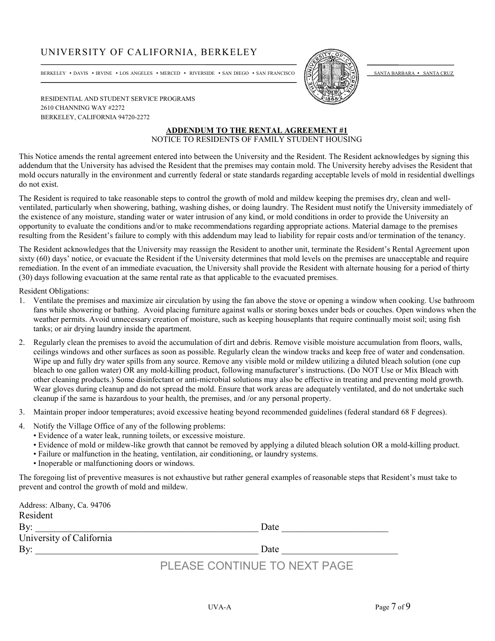BERKELEY • DAVIS • IRVINE • LOS ANGELES • MERCED • RIVERSIDE • SAN DIEGO • SAN FRANCISCO  $\frac{\mathcal{S}}{\mathcal{S}}$ 



RESIDENTIAL AND STUDENT SERVICE PROGRAMS 2610 CHANNING WAY #2272 BERKELEY, CALIFORNIA 94720-2272

#### **ADDENDUM TO THE RENTAL AGREEMENT #1** NOTICE TO RESIDENTS OF FAMILY STUDENT HOUSING

This Notice amends the rental agreement entered into between the University and the Resident. The Resident acknowledges by signing this addendum that the University has advised the Resident that the premises may contain mold. The University hereby advises the Resident that mold occurs naturally in the environment and currently federal or state standards regarding acceptable levels of mold in residential dwellings do not exist.

The Resident is required to take reasonable steps to control the growth of mold and mildew keeping the premises dry, clean and wellventilated, particularly when showering, bathing, washing dishes, or doing laundry. The Resident must notify the University immediately of the existence of any moisture, standing water or water intrusion of any kind, or mold conditions in order to provide the University an opportunity to evaluate the conditions and/or to make recommendations regarding appropriate actions. Material damage to the premises resulting from the Resident's failure to comply with this addendum may lead to liability for repair costs and/or termination of the tenancy.

The Resident acknowledges that the University may reassign the Resident to another unit, terminate the Resident's Rental Agreement upon sixty (60) days' notice, or evacuate the Resident if the University determines that mold levels on the premises are unacceptable and require remediation. In the event of an immediate evacuation, the University shall provide the Resident with alternate housing for a period of thirty (30) days following evacuation at the same rental rate as that applicable to the evacuated premises.

Resident Obligations:

- 1. Ventilate the premises and maximize air circulation by using the fan above the stove or opening a window when cooking. Use bathroom fans while showering or bathing. Avoid placing furniture against walls or storing boxes under beds or couches. Open windows when the weather permits. Avoid unnecessary creation of moisture, such as keeping houseplants that require continually moist soil; using fish tanks; or air drying laundry inside the apartment.
- 2. Regularly clean the premises to avoid the accumulation of dirt and debris. Remove visible moisture accumulation from floors, walls, ceilings windows and other surfaces as soon as possible. Regularly clean the window tracks and keep free of water and condensation. Wipe up and fully dry water spills from any source. Remove any visible mold or mildew utilizing a diluted bleach solution (one cup bleach to one gallon water) OR any mold-killing product, following manufacturer's instructions. (Do NOT Use or Mix Bleach with other cleaning products.) Some disinfectant or anti-microbial solutions may also be effective in treating and preventing mold growth. Wear gloves during cleanup and do not spread the mold. Ensure that work areas are adequately ventilated, and do not undertake such cleanup if the same is hazardous to your health, the premises, and /or any personal property.
- 3. Maintain proper indoor temperatures; avoid excessive heating beyond recommended guidelines (federal standard 68 F degrees).
- 4. Notify the Village Office of any of the following problems:
	- Evidence of a water leak, running toilets, or excessive moisture.
	- Evidence of mold or mildew-like growth that cannot be removed by applying a diluted bleach solution OR a mold-killing product.
	- Failure or malfunction in the heating, ventilation, air conditioning, or laundry systems.
	- Inoperable or malfunctioning doors or windows.

The foregoing list of preventive measures is not exhaustive but rather general examples of reasonable steps that Resident's must take to prevent and control the growth of mold and mildew.

| Address: Albany, Ca. 94706 |                              |
|----------------------------|------------------------------|
| Resident                   |                              |
| By:                        | Date                         |
| University of California   |                              |
| By:                        | Date                         |
|                            | PLEASE CONTINUE TO NEXT PAGE |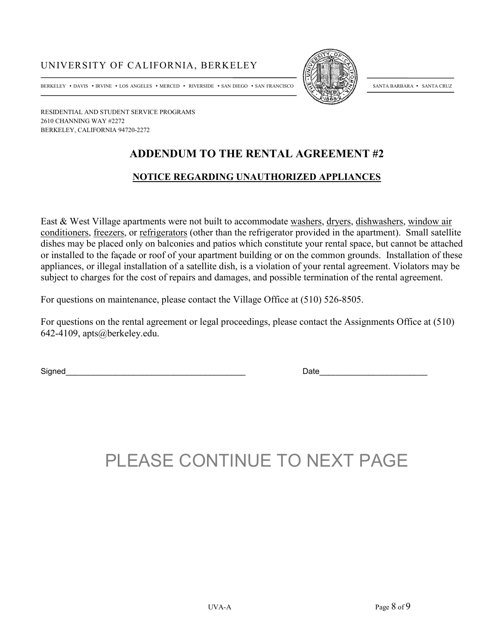



RESIDENTIAL AND STUDENT SERVICE PROGRAMS 2610 CHANNING WAY #2272 BERKELEY, CALIFORNIA 94720-2272

## **ADDENDUM TO THE RENTAL AGREEMENT #2**

#### **NOTICE REGARDING UNAUTHORIZED APPLIANCES**

East & West Village apartments were not built to accommodate washers, dryers, dishwashers, window air conditioners, freezers, or refrigerators (other than the refrigerator provided in the apartment). Small satellite dishes may be placed only on balconies and patios which constitute your rental space, but cannot be attached or installed to the façade or roof of your apartment building or on the common grounds. Installation of these appliances, or illegal installation of a satellite dish, is a violation of your rental agreement. Violators may be subject to charges for the cost of repairs and damages, and possible termination of the rental agreement.

For questions on maintenance, please contact the Village Office at (510) 526-8505.

For questions on the rental agreement or legal proceedings, please contact the Assignments Office at (510) 642-4109, apts@berkeley.edu.

Signed **Example 2** and the set of the set of the set of the set of the set of the set of the set of the set of the set of the set of the set of the set of the set of the set of the set of the set of the set of the set of t

# PLEASE CONTINUE TO NEXT PAGE